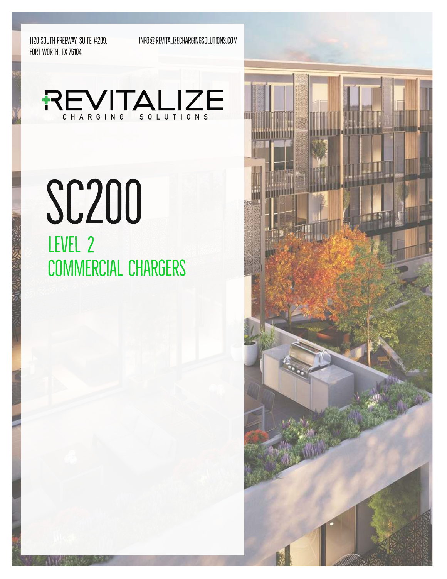1120 SOUTH FREEWAY, SUITE #209, FORT WORTH, TX 76104

INFO@REVITALIZECHARGINGSOLUTIONS.COM



# **SC200** LEVEL 2 **COMMERCIAL CHARGERS**

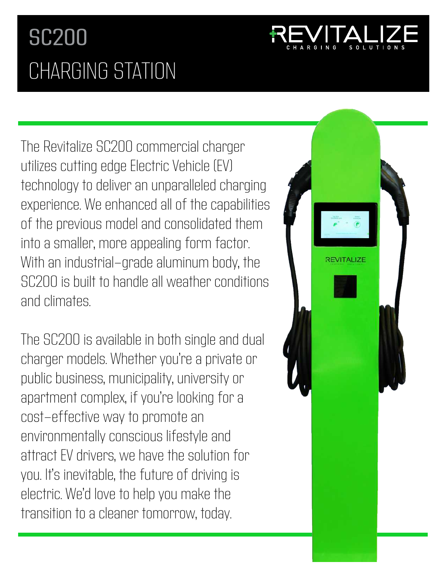## SC200 CHARGING STATION



The Revitalize SC200 commercial charger utilizes cutting edge Electric Vehicle (EV) technology to deliver an unparalleled charging experience. We enhanced all of the capabilities of the previous model and consolidated them into a smaller, more appealing form factor. With an industrial-grade aluminum body, the SC200 is built to handle all weather conditions and climates.

The SC200 is available in both single and dual charger models. Whether you're a private or public business, municipality, university or apartment complex, if you're looking for a cost-effective way to promote an environmentally conscious lifestyle and attract EV drivers, we have the solution for you. It's inevitable, the future of driving is electric. We'd love to help you make the transition to a cleaner tomorrow, today.

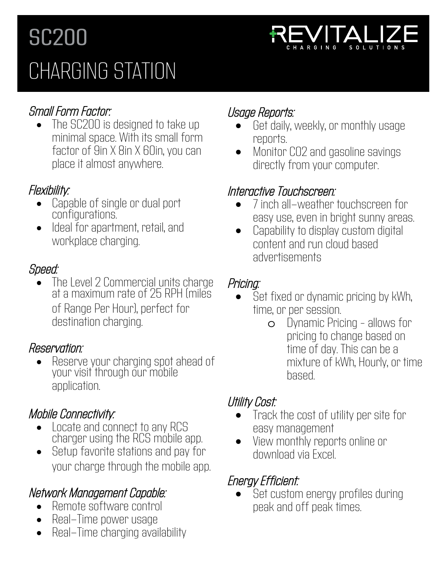## SC200 CHARGING STATION



## Small Form Factor:

The SC200 is designed to take up minimal space. With its small form factor of 9in X 8in X 60in, you can place it almost anywhere.

### Flexibility:

- Capable of single or dual port configurations.
- Ideal for apartment, retail, and workplace charging.

## Speed:

• The Level 2 Commercial units charge at a maximum rate of 25 RPH (miles of Range Per Hour), perfect for destination charging.

### Reservation:

• Reserve your charging spot ahead of your visit through our mobile application.

## Mobile Connectivity:

- Locate and connect to any RCS charger using the RCS mobile app.
- Setup favorite stations and pay for your charge through the mobile app.

## Network Management Capable:

- Remote software control
- Real–Time power usage
- Real-Time charging availability

## Usage Reports:

- Get daily, weekly, or monthly usage reports.
- Monitor CO2 and gasoline savings directly from your computer.

### Interactive Touchscreen:

- 7 inch all-weather touchscreen for easy use, even in bright sunny areas.
- Capability to display custom digital content and run cloud based advertisements

### Pricing:

- Set fixed or dynamic pricing by kWh, time, or per session.
	- o Dynamic Pricing allows for pricing to change based on time of day. This can be a mixture of kWh, Hourly, or time based.

## Utility Cost:

- Track the cost of utility per site for easy management
- View monthly reports online or download via Excel.

## Energy Efficient:

Set custom energy profiles during peak and off peak times.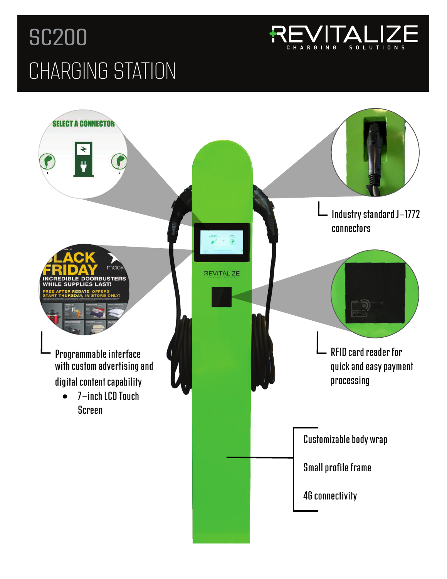## SC200 CHARGING STATION



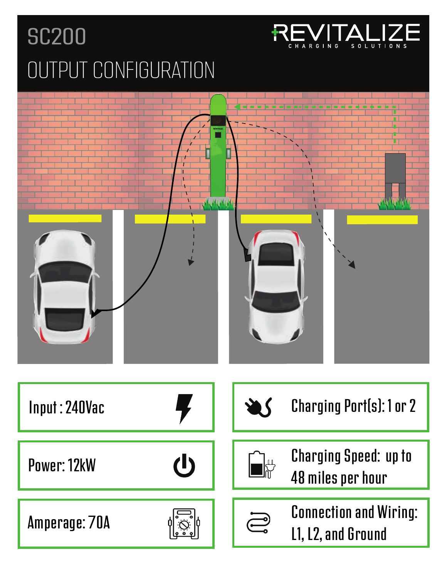## SC200 OUTPUT CONFIGURATION



S O L U T I O N

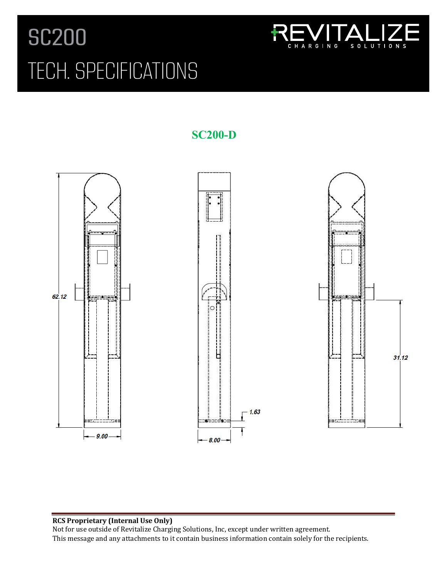## SC200 TECH. SPECIFICATIONS



**SC200-D** 



#### **RCS Proprietary (Internal Use Only)**

Not for use outside of Revitalize Charging Solutions, Inc, except under written agreement. This message and any attachments to it contain business information contain solely for the recipients.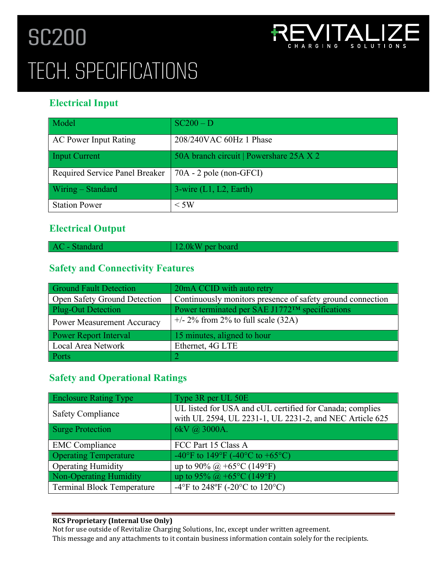## **(SC200-D) Dual Port Level 2 Charging Station** TECH. SPECIFICATIONSSC200



### **Electrical Input**

| Model                          | $SC200 - D$                             |
|--------------------------------|-----------------------------------------|
| <b>AC Power Input Rating</b>   | 208/240VAC 60Hz 1 Phase                 |
| <b>Input Current</b>           | 50A branch circuit   Powershare 25A X 2 |
| Required Service Panel Breaker | $70A - 2$ pole (non-GFCI)               |
| Wiring - Standard              | $3$ -wire $(L1, L2, Earth)$             |
| <b>Station Power</b>           | $\rm < 5W$                              |

#### **Electrical Output**

| AC - Standard | $12.0$ kW per board |
|---------------|---------------------|

### **Safety and Connectivity Features**

| <b>Ground Fault Detection</b>     | 20mA CCID with auto retry                                   |
|-----------------------------------|-------------------------------------------------------------|
| Open Safety Ground Detection      | Continuously monitors presence of safety ground connection  |
| <b>Plug-Out Detection</b>         | Power terminated per SAE J1772 <sup>TM</sup> specifications |
| <b>Power Measurement Accuracy</b> | $+/- 2\%$ from 2% to full scale (32A)                       |
| Power Report Interval             | 15 minutes, aligned to hour                                 |
| Local Area Network                | Ethernet, 4G LTE                                            |
| Ports                             |                                                             |

#### **Safety and Operational Ratings**

| Enclosure Rating Type        | Type 3R per UL 50E                                                                                                  |
|------------------------------|---------------------------------------------------------------------------------------------------------------------|
| <b>Safety Compliance</b>     | UL listed for USA and cUL certified for Canada; complies<br>with UL 2594, UL 2231-1, UL 2231-2, and NEC Article 625 |
| Surge Protection             | 6kV @ 3000A.                                                                                                        |
| <b>EMC</b> Compliance        | FCC Part 15 Class A                                                                                                 |
| <b>Operating Temperature</b> | -40°F to 149°F (-40°C to +65°C)                                                                                     |
| <b>Operating Humidity</b>    | up to 90% @ +65 °C (149 °F)                                                                                         |
| Non-Operating Humidity       | up to 95% @ +65°C (149°F)                                                                                           |
| Terminal Block Temperature   | -4°F to 248°F (-20°C to 120°C)                                                                                      |

#### **RCS Proprietary (Internal Use Only)**

Not for use outside of Revitalize Charging Solutions, Inc, except under written agreement. This message and any attachments to it contain business information contain solely for the recipients.